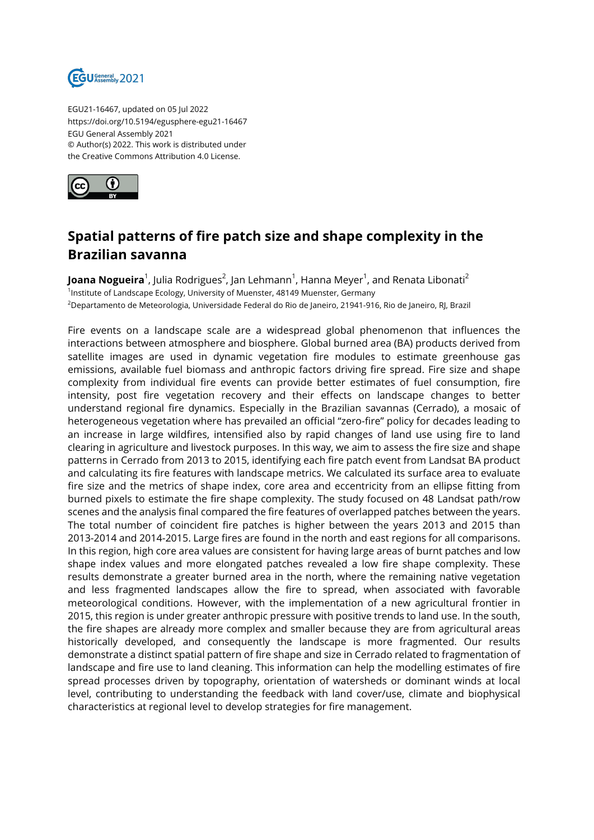

EGU21-16467, updated on 05 Jul 2022 https://doi.org/10.5194/egusphere-egu21-16467 EGU General Assembly 2021 © Author(s) 2022. This work is distributed under the Creative Commons Attribution 4.0 License.



## **Spatial patterns of fire patch size and shape complexity in the Brazilian savanna**

**Joana Nogueira**<sup>1</sup>, Julia Rodrigues<sup>2</sup>, Jan Lehmann<sup>1</sup>, Hanna Meyer<sup>1</sup>, and Renata Libonati<sup>2</sup> <sup>1</sup>Institute of Landscape Ecology, University of Muenster, 48149 Muenster, Germany <sup>2</sup>Departamento de Meteorologia, Universidade Federal do Rio de Janeiro, 21941-916, Rio de Janeiro, RJ, Brazil

Fire events on a landscape scale are a widespread global phenomenon that influences the interactions between atmosphere and biosphere. Global burned area (BA) products derived from satellite images are used in dynamic vegetation fire modules to estimate greenhouse gas emissions, available fuel biomass and anthropic factors driving fire spread. Fire size and shape complexity from individual fire events can provide better estimates of fuel consumption, fire intensity, post fire vegetation recovery and their effects on landscape changes to better understand regional fire dynamics. Especially in the Brazilian savannas (Cerrado), a mosaic of heterogeneous vegetation where has prevailed an official "zero-fire" policy for decades leading to an increase in large wildfires, intensified also by rapid changes of land use using fire to land clearing in agriculture and livestock purposes. In this way, we aim to assess the fire size and shape patterns in Cerrado from 2013 to 2015, identifying each fire patch event from Landsat BA product and calculating its fire features with landscape metrics. We calculated its surface area to evaluate fire size and the metrics of shape index, core area and eccentricity from an ellipse fitting from burned pixels to estimate the fire shape complexity. The study focused on 48 Landsat path/row scenes and the analysis final compared the fire features of overlapped patches between the years. The total number of coincident fire patches is higher between the years 2013 and 2015 than 2013-2014 and 2014-2015. Large fires are found in the north and east regions for all comparisons. In this region, high core area values are consistent for having large areas of burnt patches and low shape index values and more elongated patches revealed a low fire shape complexity. These results demonstrate a greater burned area in the north, where the remaining native vegetation and less fragmented landscapes allow the fire to spread, when associated with favorable meteorological conditions. However, with the implementation of a new agricultural frontier in 2015, this region is under greater anthropic pressure with positive trends to land use. In the south, the fire shapes are already more complex and smaller because they are from agricultural areas historically developed, and consequently the landscape is more fragmented. Our results demonstrate a distinct spatial pattern of fire shape and size in Cerrado related to fragmentation of landscape and fire use to land cleaning. This information can help the modelling estimates of fire spread processes driven by topography, orientation of watersheds or dominant winds at local level, contributing to understanding the feedback with land cover/use, climate and biophysical characteristics at regional level to develop strategies for fire management.